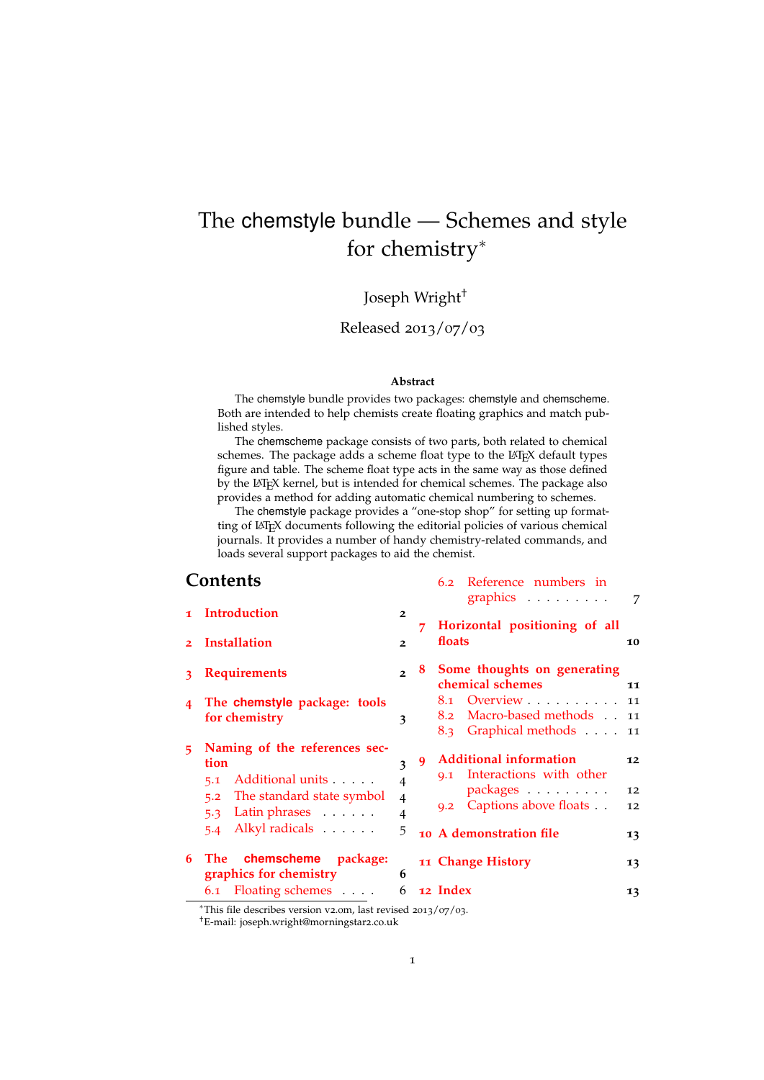## <span id="page-0-0"></span>The chemstyle bundle — Schemes and style for chemistry<sup>\*</sup>

## Joseph Wright†

### Released 2013/07/03

#### **Abstract**

The chemstyle bundle provides two packages: chemstyle and chemscheme. Both are intended to help chemists create floating graphics and match published styles.

The chemscheme package consists of two parts, both related to chemical schemes. The package adds a scheme float type to the LATEX default types figure and table. The scheme float type acts in the same way as those defined by the LATEX kernel, but is intended for chemical schemes. The package also provides a method for adding automatic chemical numbering to schemes.

The chemstyle package provides a "one-stop shop" for setting up formatting of LATEX documents following the editorial policies of various chemical journals. It provides a number of handy chemistry-related commands, and loads several support packages to aid the chemist.

### **Contents**

| Contents |                                                                                                                                                 |                                                              |   | 6.2 Reference numbers in<br>graphics $\ldots \ldots \ldots$                                                                      | $\overline{7}$       |
|----------|-------------------------------------------------------------------------------------------------------------------------------------------------|--------------------------------------------------------------|---|----------------------------------------------------------------------------------------------------------------------------------|----------------------|
|          | 1 Introduction<br>2 Installation                                                                                                                | $\overline{2}$<br>$\overline{2}$                             | 7 | Horizontal positioning of all<br>floats                                                                                          | 10                   |
|          | 3 Requirements                                                                                                                                  | $\mathcal{P}$                                                |   | 8 Some thoughts on generating<br>chemical schemes                                                                                | 11                   |
| 4        | The chemstyle package: tools<br>for chemistry                                                                                                   | 3                                                            |   | 8.1 Overview 11<br>Macro-based methods . 11<br>8.2<br>8.3 Graphical methods 11                                                   |                      |
| 5        | Naming of the references sec-<br>tion<br>5.1 Additional units<br>The standard state symbol<br>5.2<br>5.3 Latin phrases<br>Alkyl radicals<br>5.4 | 3<br>$\overline{4}$<br>$\overline{4}$<br>$\overline{4}$<br>5 | 9 | <b>Additional information</b><br>9.1 Interactions with other<br>packages<br>9.2 Captions above floats<br>10 A demonstration file | 12<br>12<br>12<br>13 |
| 6        | The chemscheme package:<br>graphics for chemistry                                                                                               | 6                                                            |   | 11 Change History                                                                                                                | 13                   |
|          | 6.1 Floating schemes                                                                                                                            | 6                                                            |   | 12 Index                                                                                                                         | 13                   |

<sup>∗</sup>This file describes version v2.0m, last revised 2013/07/03. †E-mail: joseph.wright@morningstar2.co.uk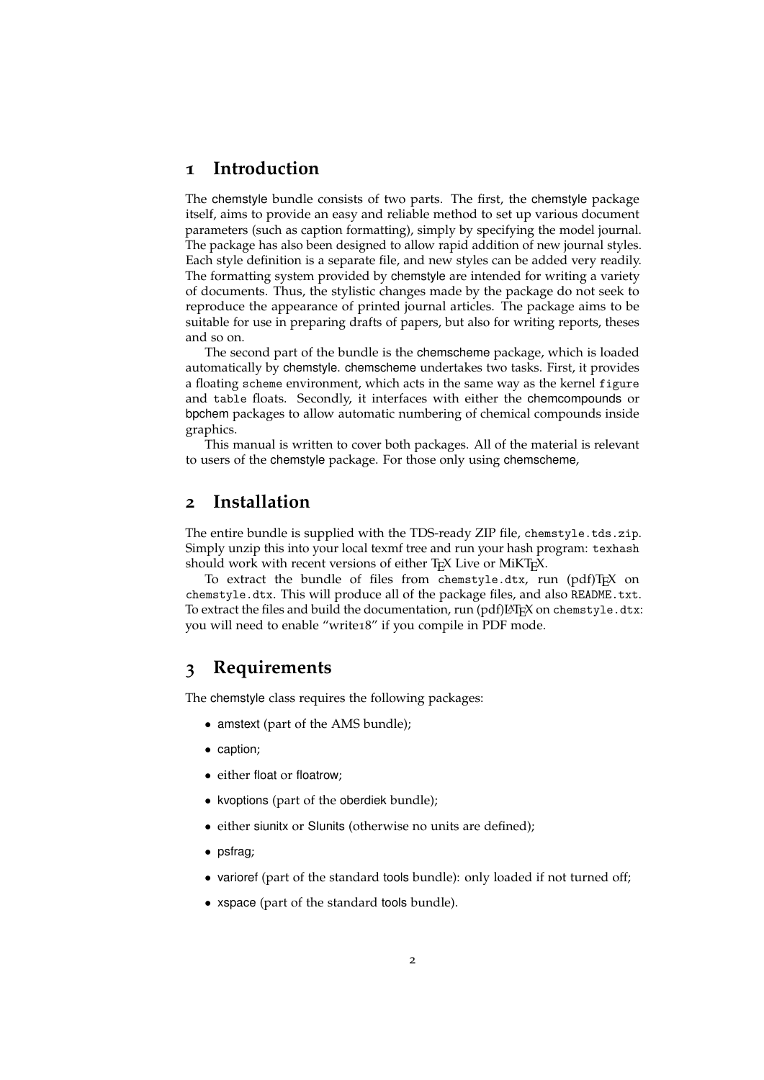## <span id="page-1-3"></span><span id="page-1-0"></span>**1 Introduction**

The chemstyle bundle consists of two parts. The first, the chemstyle package itself, aims to provide an easy and reliable method to set up various document parameters (such as caption formatting), simply by specifying the model journal. The package has also been designed to allow rapid addition of new journal styles. Each style definition is a separate file, and new styles can be added very readily. The formatting system provided by chemstyle are intended for writing a variety of documents. Thus, the stylistic changes made by the package do not seek to reproduce the appearance of printed journal articles. The package aims to be suitable for use in preparing drafts of papers, but also for writing reports, theses and so on.

The second part of the bundle is the chemscheme package, which is loaded automatically by chemstyle. chemscheme undertakes two tasks. First, it provides a floating scheme environment, which acts in the same way as the kernel figure and table floats. Secondly, it interfaces with either the chemcompounds or bpchem packages to allow automatic numbering of chemical compounds inside graphics.

This manual is written to cover both packages. All of the material is relevant to users of the chemstyle package. For those only using chemscheme,

## <span id="page-1-1"></span>**2 Installation**

The entire bundle is supplied with the TDS-ready ZIP file, chemstyle.tds.zip. Simply unzip this into your local texmf tree and run your hash program: texhash should work with recent versions of either T<sub>E</sub>X Live or MiKT<sub>E</sub>X.

To extract the bundle of files from chemstyle.dtx, run  $\text{pdfTr}X$  on chemstyle.dtx. This will produce all of the package files, and also README.txt. To extract the files and build the documentation, run (pdf)LHFX on chemstyle.dtx: you will need to enable "write18" if you compile in PDF mode.

## <span id="page-1-2"></span>**3 Requirements**

The chemstyle class requires the following packages:

- amstext (part of the AMS bundle);
- caption;
- either float or floatrow;
- kvoptions (part of the oberdiek bundle);
- either siunitx or SIunits (otherwise no units are defined);
- psfrag;
- varioref (part of the standard tools bundle): only loaded if not turned off;
- xspace (part of the standard tools bundle).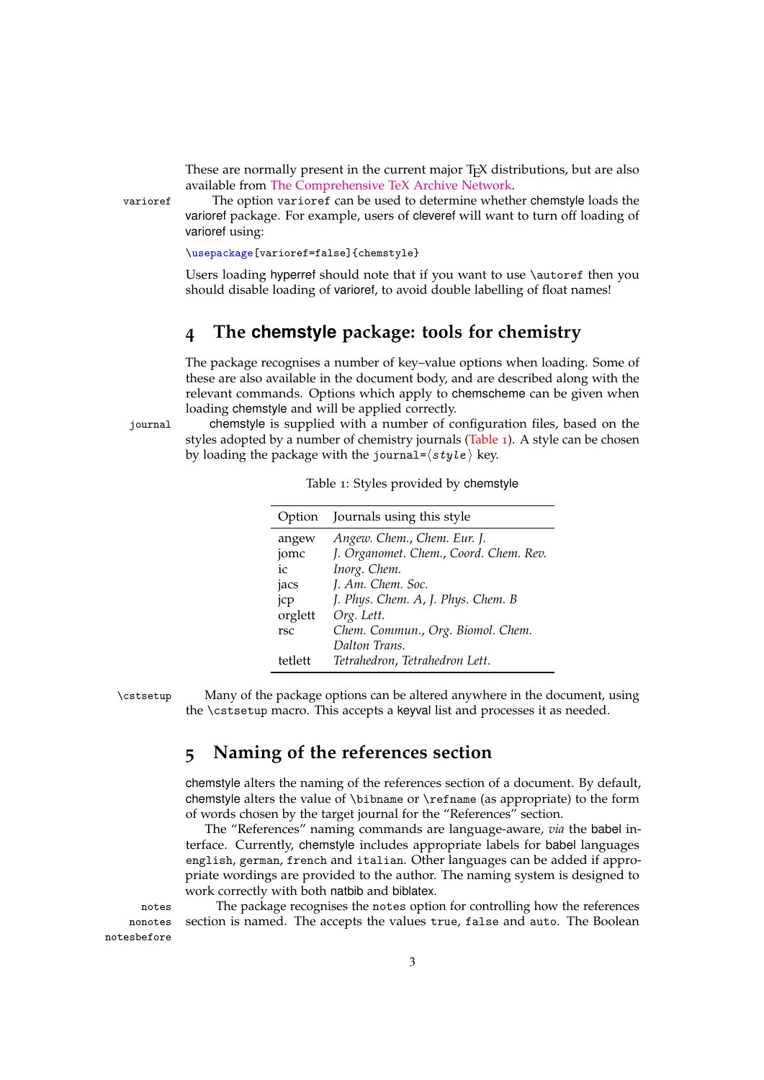These are normally present in the current major T<sub>E</sub>X distributions, but are also available from [The Comprehensive TeX Archive Network.](http://www.ctan.org)

varioref The option varioref can be used to determine whether chemstyle loads the varioref package. For example, users of cleveref will want to turn off loading of varioref using:

\usepackage[varioref=false]{chemstyle}

Users loading hyperref should note that if you want to use \autoref then you should disable loading of varioref, to avoid double labelling of float names!

## <span id="page-2-0"></span>**4 The chemstyle package: tools for chemistry**

The package recognises a number of key–value options when loading. Some of these are also available in the document body, and are described along with the relevant commands. Options which apply to chemscheme can be given when loading chemstyle and will be applied correctly.

journal chemstyle is supplied with a number of configuration files, based on the styles adopted by a number of chemistry journals [\(Table](#page-2-2) 1). A style can be chosen by loading the package with the journal= $\langle$ style</sub> $\rangle$  key.

<span id="page-2-2"></span>

| Option  | Journals using this style              |
|---------|----------------------------------------|
| angew   | Angew. Chem., Chem. Eur. J.            |
| jomc    | J. Organomet. Chem., Coord. Chem. Rev. |
| ic      | Inorg. Chem.                           |
| jacs    | J. Am. Chem. Soc.                      |
| jcp     | J. Phys. Chem. A, J. Phys. Chem. B     |
| orglett | Org. Lett.                             |
| rsc     | Chem. Commun., Org. Biomol. Chem.      |
|         | Dalton Trans.                          |
| tetlett | Tetrahedron, Tetrahedron Lett.         |

| Table 1: Styles provided by chemstyle |
|---------------------------------------|
|---------------------------------------|

\cstsetup Many of the package options can be altered anywhere in the document, using the \cstsetup macro. This accepts a keyval list and processes it as needed.

## <span id="page-2-3"></span><span id="page-2-1"></span>**5 Naming of the references section**

chemstyle alters the naming of the references section of a document. By default, chemstyle alters the value of \bibname or \refname (as appropriate) to the form of words chosen by the target journal for the "References" section.

The "References" naming commands are language-aware, *via* the babel interface. Currently, chemstyle includes appropriate labels for babel languages english, german, french and italian. Other languages can be added if appropriate wordings are provided to the author. The naming system is designed to work correctly with both natbib and biblatex.

notes The package recognises the notes option for controlling how the references section is named. The accepts the values true, false and auto. The Boolean

nonotes notesbefore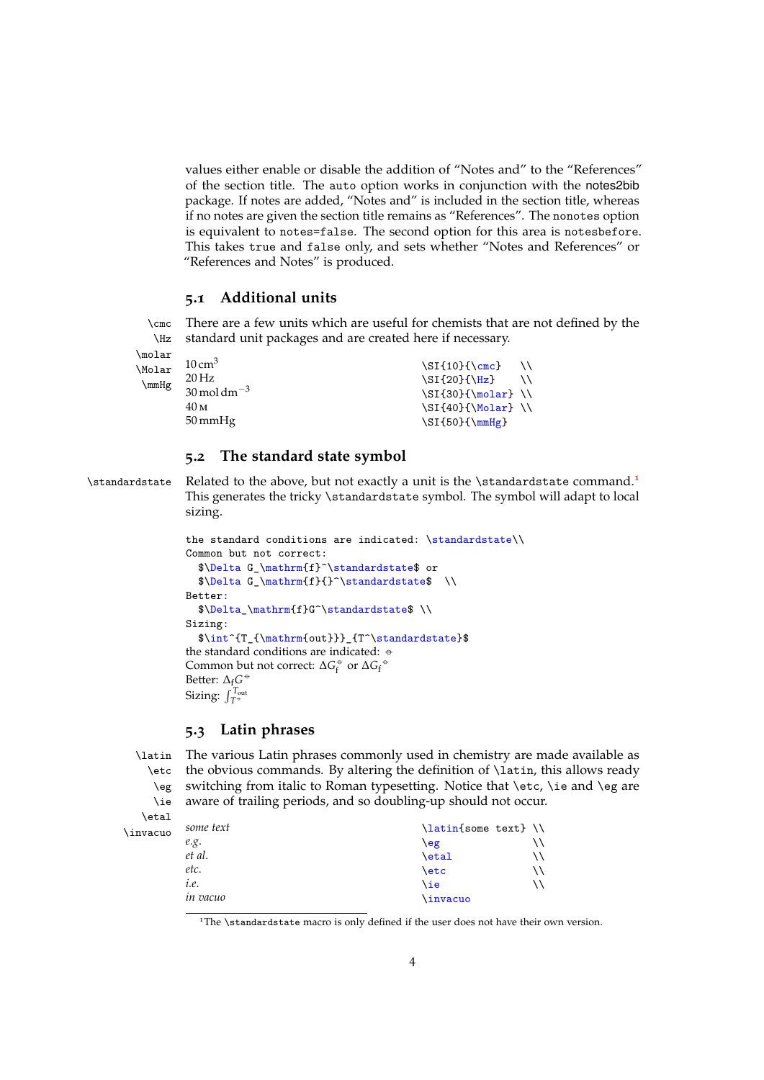values either enable or disable the addition of "Notes and" to the "References" of the section title. The auto option works in conjunction with the notes2bib package. If notes are added, "Notes and" is included in the section title, whereas if no notes are given the section title remains as "References". The nonotes option is equivalent to notes=false. The second option for this area is notesbefore. This takes true and false only, and sets whether "Notes and References" or "References and Notes" is produced.

### <span id="page-3-4"></span><span id="page-3-0"></span>**5.1 Additional units**

\cmc There are a few units which are useful for chemists that are not defined by the \Hz standard unit packages and are created here if necessary.

\molar \Molar \mmHg

| $10 \text{ cm}^3$                      | $\Sigma_{10}({\rm cm})$ |             |
|----------------------------------------|-------------------------|-------------|
| $20$ Hz                                | \SI{20}{\Hz}            | $\setminus$ |
| $30 \,\mathrm{mol} \,\mathrm{dm}^{-3}$ | $\SI{30}{\modar}$       |             |
| 40 M                                   | $\SI{40}{\M{olar}} \ \$ |             |
| $50 \,\mathrm{mmHz}$                   | $\SI{50}{\mm Hg}$       |             |

### <span id="page-3-6"></span><span id="page-3-1"></span>**5.2 The standard state symbol**

\standardstate

Related to the above, but not exactly a unit is the \standardstate command.<sup>[1](#page-3-3)</sup> This generates the tricky \standardstate symbol. The symbol will adapt to local sizing.

```
the standard conditions are indicated: \standardstate\\
Common but not correct:
  $\Delta G_\mathrm{f}^\standardstate$ or
  \Delta G_\mathrm{ff}{\hat{f}}Better:
  $\Delta_\mathrm{f}G^\standardstate$ \\
Sizing:
  $\int^{T_{\mathrm{out}}}_{T^\standardstate}$
the standard conditions are indicated: \leftrightarrowCommon but not correct: \Delta G_f^{\circ} or \Delta G_f^{\circ}Better: Δ<sub>f</sub><sup>G ↔</sup>
Sizing: \int_{T^\circ}^{T_{\rm out}}
```
### <span id="page-3-5"></span><span id="page-3-2"></span>**5.3 Latin phrases**

\latin The various Latin phrases commonly used in chemistry are made available as \etc \eg \ie the obvious commands. By altering the definition of \latin, this allows ready switching from italic to Roman typesetting. Notice that \etc, \ie and \eg are aware of trailing periods, and so doubling-up should not occur.

\etal \invacuo

| some text | $\left\{\lambda\right\}$ |    |
|-----------|--------------------------|----|
| e.g.      | $\left\{ \right.$        |    |
| et al.    | \etal                    | \\ |
| etc.      | \etc                     | \\ |
| i.e.      | \ie                      |    |
| in vacuo  | <b>\invacuo</b>          |    |

<span id="page-3-3"></span> $1$ <sup>1</sup>The \standardstate macro is only defined if the user does not have their own version.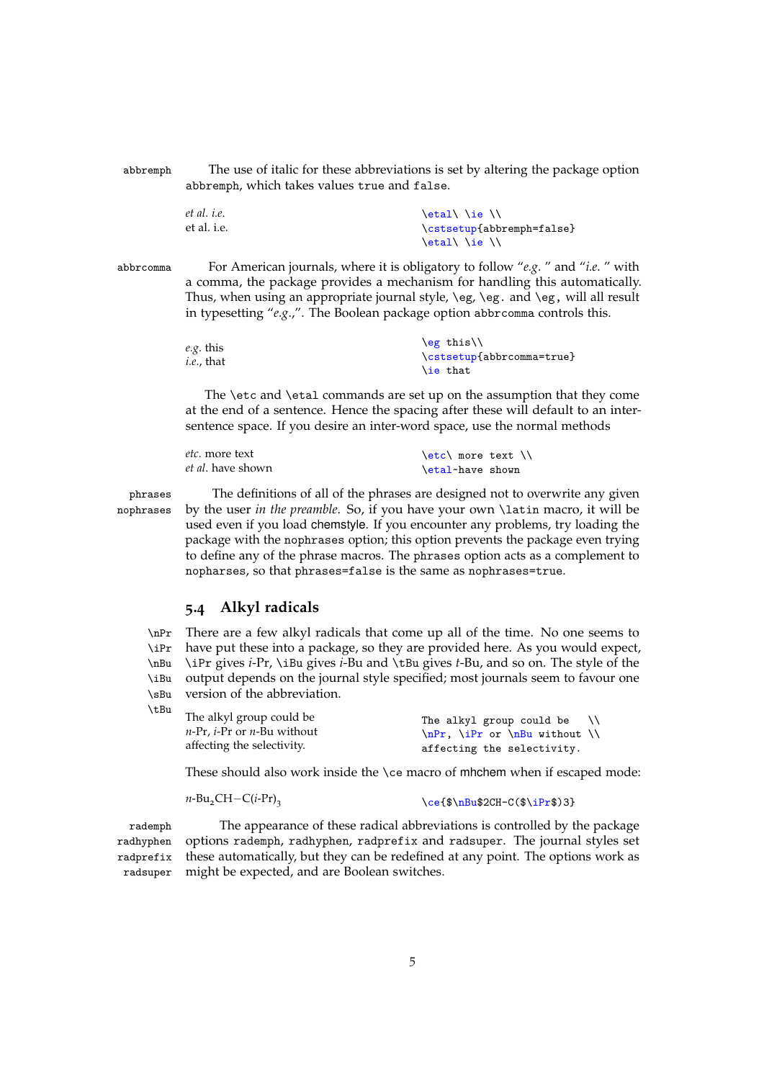abbremph The use of italic for these abbreviations is set by altering the package option abbremph, which takes values true and false.

| et al. i.e. | \etal\\ie\\\              |
|-------------|---------------------------|
| et al. i.e. | \cstsetup{abbremph=false} |
|             | $\eta \$                  |

abbrcomma For American journals, where it is obligatory to follow "*e.g*. " and "*i.e*. " with a comma, the package provides a mechanism for handling this automatically. Thus, when using an appropriate journal style,  $\e$ g,  $\e$ g. and  $\e$ g, will all result in typesetting "*e.g*.,". The Boolean package option abbrcomma controls this.

| e.g. this         | $\left\langle \frac{e}{h} \right\rangle$ |
|-------------------|------------------------------------------|
| <i>i.e.,</i> that | \cstsetup{abbrcomma=true}                |
|                   | \ie that                                 |

The \etc and \etal commands are set up on the assumption that they come at the end of a sentence. Hence the spacing after these will default to an intersentence space. If you desire an inter-word space, use the normal methods

| <i>etc.</i> more text     | $\text{let} \land \text{more text}$ |  |  |
|---------------------------|-------------------------------------|--|--|
| <i>et al</i> . have shown | \etal-have shown                    |  |  |

\tBu

phrases The definitions of all of the phrases are designed not to overwrite any given nophrases by the user *in the preamble*. So, if you have your own \latin macro, it will be used even if you load chemstyle. If you encounter any problems, try loading the package with the nophrases option; this option prevents the package even trying to define any of the phrase macros. The phrases option acts as a complement to nopharses, so that phrases=false is the same as nophrases=true.

### <span id="page-4-1"></span><span id="page-4-0"></span>**5.4 Alkyl radicals**

\nPr There are a few alkyl radicals that come up all of the time. No one seems to \iPr \nBu \iBu \sBu have put these into a package, so they are provided here. As you would expect, \iPr gives *i*-Pr, \iBu gives *i*-Bu and \tBu gives *t*-Bu, and so on. The style of the output depends on the journal style specified; most journals seem to favour one version of the abbreviation.

| The alkyl group could be                           | The alkyl group could be $\setminus$         |
|----------------------------------------------------|----------------------------------------------|
| <i>n</i> -Pr, <i>i</i> -Pr or <i>n</i> -Bu without | $\n\leftarrow \i{r}$ or $\n\leftarrow \i{\}$ |
| affecting the selectivity.                         | affecting the selectivity.                   |

These should also work inside the \ce macro of mhchem when if escaped mode:

```
n-\text{Bu}_2\text{CH}-\text{C}(i-\text{Pr})<sub>3</sub> \ce{$\nBu$2CH-C($\iPr$)3}
```
rademph The appearance of these radical abbreviations is controlled by the package radhyphen radprefix radsuper options rademph, radhyphen, radprefix and radsuper. The journal styles set these automatically, but they can be redefined at any point. The options work as might be expected, and are Boolean switches.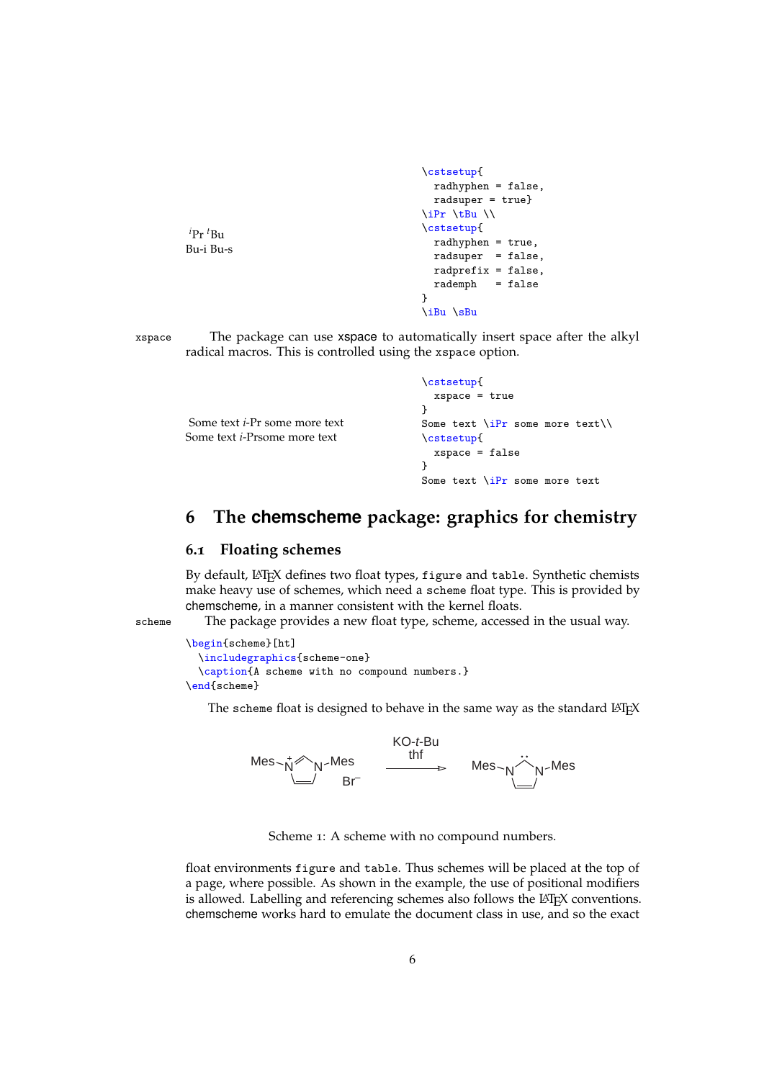```
\cstsetup{
 radhyphen = false,
 radsuper = true}
\iPr \tBu \\
\cstsetup{
 radhyphen = true,
 radsuper = false,
 radprefix = false,
  rademph = false
}
\iBu \sBu
```
\cstsetup{

xspace The package can use xspace to automatically insert space after the alkyl radical macros. This is controlled using the xspace option.

```
Some text i-Pr some more text
Some text i-Prsome more text
                                          xspace = true
                                        }
                                        Some text \iPr some more text\\
                                        \cstsetup{
                                          xspace = false
                                        }
                                        Some text \iPr some more text
```
## <span id="page-5-0"></span>**6 The chemscheme package: graphics for chemistry**

### <span id="page-5-1"></span>**6.1 Floating schemes**

 $i_{\text{Pr}} t_{\text{Rm}}$ Bu-i Bu-s

By default, LATEX defines two float types, figure and table. Synthetic chemists make heavy use of schemes, which need a scheme float type. This is provided by chemscheme, in a manner consistent with the kernel floats.

scheme The package provides a new float type, scheme, accessed in the usual way.

```
\begin{scheme}[ht]
  \includegraphics{scheme-one}
  \caption{A scheme with no compound numbers.}
\end{scheme}
```
<span id="page-5-2"></span>The scheme float is designed to behave in the same way as the standard  $\Delta E$ <sub>F</sub> $X$ 



Scheme 1: A scheme with no compound numbers.

float environments figure and table. Thus schemes will be placed at the top of a page, where possible. As shown in the example, the use of positional modifiers is allowed. Labelling and referencing schemes also follows the LAT<sub>EX</sub> conventions. chemscheme works hard to emulate the document class in use, and so the exact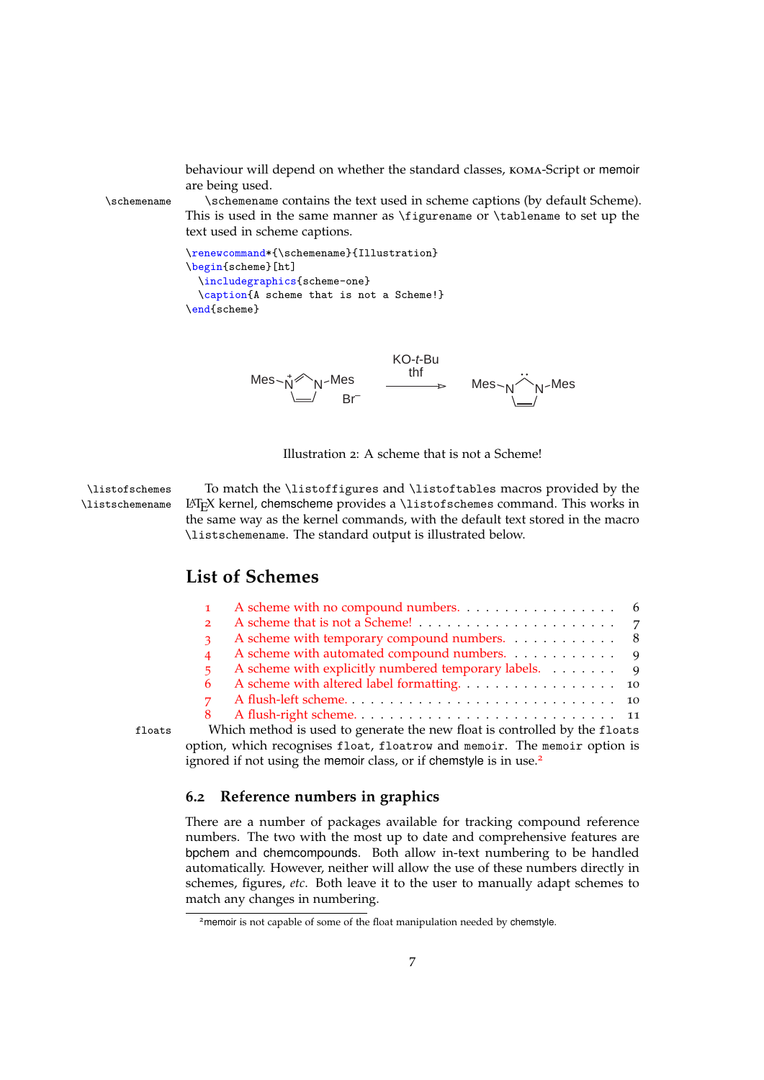<span id="page-6-4"></span>behaviour will depend on whether the standard classes, koma-Script or memoir are being used.

\schemename \schemename contains the text used in scheme captions (by default Scheme). This is used in the same manner as \figurename or \tablename to set up the text used in scheme captions.

```
\renewcommand*{\schemename}{Illustration}
\begin{scheme}[ht]
  \includegraphics{scheme-one}
  \caption{A scheme that is not a Scheme!}
\end{scheme}
```
<span id="page-6-1"></span>

<span id="page-6-3"></span>Illustration 2: A scheme that is not a Scheme!

\listofschemes To match the \listoffigures and \listoftables macros provided by the \listschemename LATEX kernel, chemscheme provides a \listofschemes command. This works in the same way as the kernel commands, with the default text stored in the macro \listschemename. The standard output is illustrated below.

## **List of Schemes**

|        | $2^{\circ}$                                                                |  |
|--------|----------------------------------------------------------------------------|--|
|        | A scheme with temporary compound numbers. 8                                |  |
|        | A scheme with automated compound numbers. 9                                |  |
|        | A scheme with explicitly numbered temporary labels. 9<br>5.                |  |
|        |                                                                            |  |
|        | $7 -$                                                                      |  |
|        |                                                                            |  |
| floats | Which method is used to generate the new float is controlled by the floats |  |

# ignored if not using the memoir class, or if chemstyle is in use.<sup>[2](#page-6-2)</sup>

## <span id="page-6-0"></span>**6.2 Reference numbers in graphics**

There are a number of packages available for tracking compound reference numbers. The two with the most up to date and comprehensive features are bpchem and chemcompounds. Both allow in-text numbering to be handled automatically. However, neither will allow the use of these numbers directly in schemes, figures, *etc*. Both leave it to the user to manually adapt schemes to match any changes in numbering.

option, which recognises float, floatrow and memoir. The memoir option is

<span id="page-6-2"></span><sup>&</sup>lt;sup>2</sup> memoir is not capable of some of the float manipulation needed by chemstyle.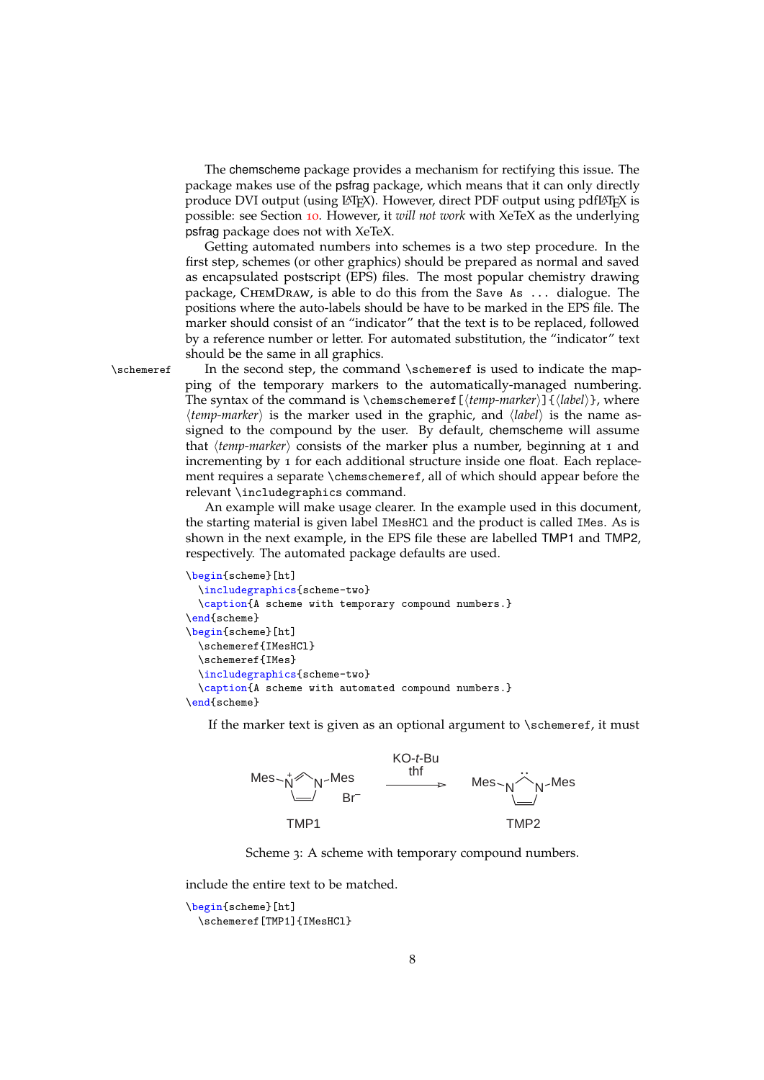The chemscheme package provides a mechanism for rectifying this issue. The package makes use of the psfrag package, which means that it can only directly produce DVI output (using  $\Delta T$ <sub>EX</sub>). However, direct PDF output using pdf $\Delta T$ <sub>EX</sub> is possible: see Section [10](#page-12-0). However, it *will not work* with XeTeX as the underlying psfrag package does not with XeTeX.

Getting automated numbers into schemes is a two step procedure. In the first step, schemes (or other graphics) should be prepared as normal and saved as encapsulated postscript (EPS) files. The most popular chemistry drawing package, ChemDraw, is able to do this from the Save As ... dialogue. The positions where the auto-labels should be have to be marked in the EPS file. The marker should consist of an "indicator" that the text is to be replaced, followed by a reference number or letter. For automated substitution, the "indicator" text should be the same in all graphics.

<span id="page-7-1"></span>

\schemeref In the second step, the command \schemeref is used to indicate the mapping of the temporary markers to the automatically-managed numbering. The syntax of the command is \chemschemeref  $[\langle temp\text{-}marker \rangle]\{ \langle label \rangle\}$ , where *(temp-marker)* is the marker used in the graphic, and *{label}* is the name assigned to the compound by the user. By default, chemscheme will assume that  $\langle temp-market \rangle$  consists of the marker plus a number, beginning at 1 and incrementing by 1 for each additional structure inside one float. Each replacement requires a separate \chemschemeref, all of which should appear before the relevant \includegraphics command.

> An example will make usage clearer. In the example used in this document, the starting material is given label IMesHCl and the product is called IMes. As is shown in the next example, in the EPS file these are labelled TMP1 and TMP2, respectively. The automated package defaults are used.

```
\begin{scheme}[ht]
  \includegraphics{scheme-two}
  \caption{A scheme with temporary compound numbers.}
\end{scheme}
\begin{scheme}[ht]
  \schemeref{IMesHCl}
  \schemeref{IMes}
  \includegraphics{scheme-two}
  \caption{A scheme with automated compound numbers.}
\end{scheme}
```
<span id="page-7-0"></span>If the marker text is given as an optional argument to \schemeref, it must





include the entire text to be matched.

```
\begin{scheme}[ht]
 \schemeref[TMP1]{IMesHCl}
```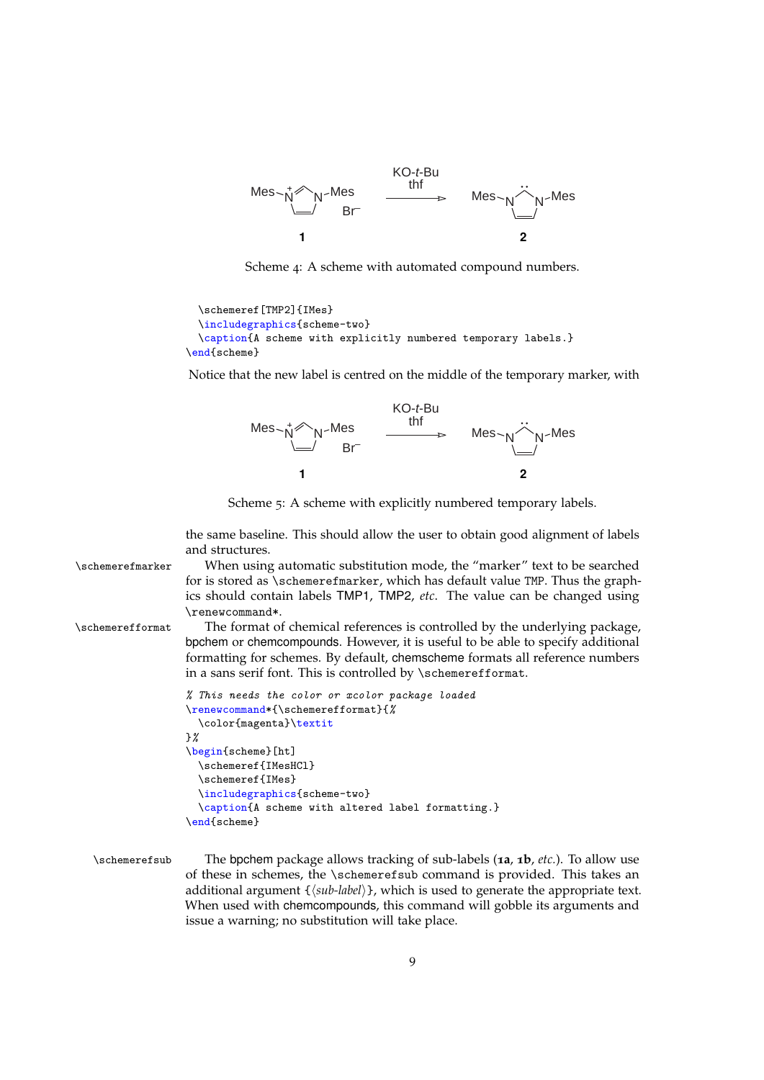<span id="page-8-0"></span>

Scheme 4: A scheme with automated compound numbers.

```
\schemeref[TMP2]{IMes}
 \includegraphics{scheme-two}
 \caption{A scheme with explicitly numbered temporary labels.}
\end{scheme}
```
<span id="page-8-1"></span>Notice that the new label is centred on the middle of the temporary marker, with



Scheme 5: A scheme with explicitly numbered temporary labels.

<span id="page-8-3"></span><span id="page-8-2"></span>the same baseline. This should allow the user to obtain good alignment of labels and structures.

```
\schemerefmarker When using automatic substitution mode, the "marker" text to be searched
                  for is stored as \schemerefmarker, which has default value TMP. Thus the graph-
                  ics should contain labels TMP1, TMP2, etc. The value can be changed using
                  \renewcommand*.
\schemerefformat The format of chemical references is controlled by the underlying package,
                  bpchem or chemcompounds. However, it is useful to be able to specify additional
                  formatting for schemes. By default, chemscheme formats all reference numbers
                  in a sans serif font. This is controlled by \schemerefformat.
                  % This needs the color or xcolor package loaded
                  \renewcommand*{\schemerefformat}{%
                    \color{magenta}\textit
                  }%
```

```
\begin{scheme}[ht]
 \schemeref{IMesHCl}
 \schemeref{IMes}
 \includegraphics{scheme-two}
  \caption{A scheme with altered label formatting.}
\end{scheme}
```
<span id="page-8-4"></span>\schemerefsub The bpchem package allows tracking of sub-labels (**1a**, **1b**, *etc.*). To allow use of these in schemes, the \schemerefsub command is provided. This takes an additional argument {*{sub-label}}*, which is used to generate the appropriate text. When used with chemcompounds, this command will gobble its arguments and issue a warning; no substitution will take place.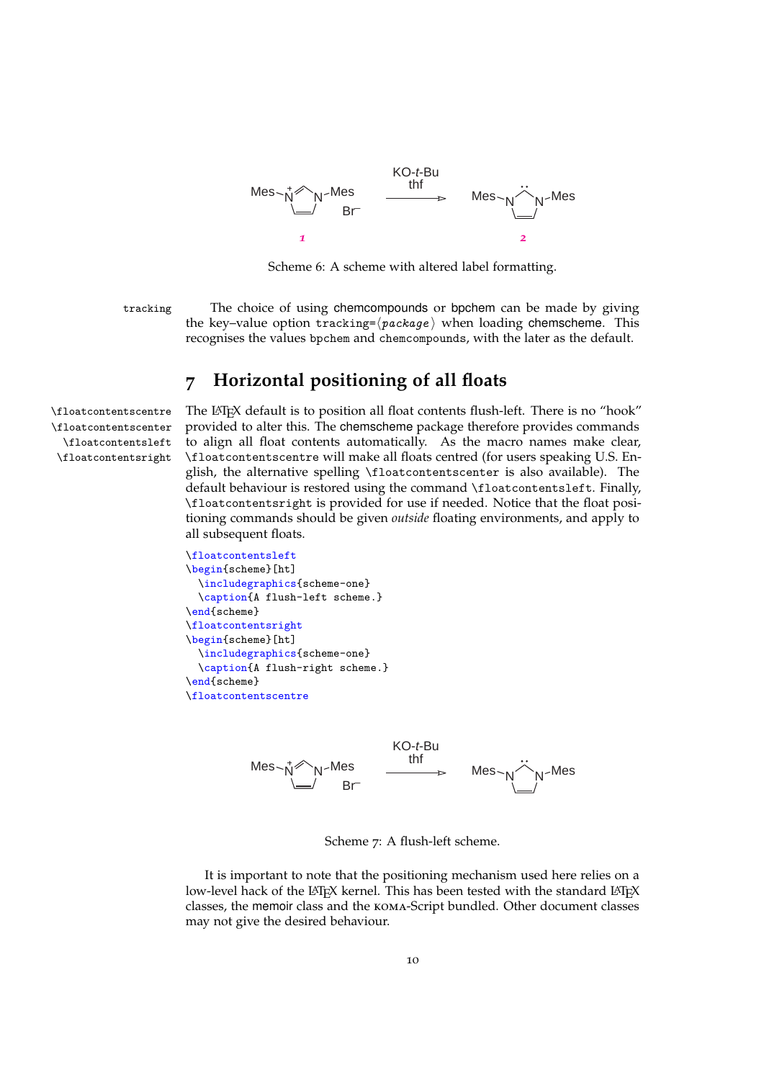<span id="page-9-1"></span>

Scheme 6: A scheme with altered label formatting.

tracking The choice of using chemcompounds or bpchem can be made by giving the key–value option tracking= $\langle package \rangle$  when loading chemscheme. This recognises the values bpchem and chemcompounds, with the later as the default.

## <span id="page-9-3"></span><span id="page-9-0"></span>**7 Horizontal positioning of all floats**

\floatcontentscenter \floatcontentsleft \floatcontentsright

\floatcontentscentre The LATEX default is to position all float contents flush-left. There is no "hook" provided to alter this. The chemscheme package therefore provides commands to align all float contents automatically. As the macro names make clear, \floatcontentscentre will make all floats centred (for users speaking U.S. English, the alternative spelling \floatcontentscenter is also available). The default behaviour is restored using the command \floatcontentsleft. Finally, \floatcontentsright is provided for use if needed. Notice that the float positioning commands should be given *outside* floating environments, and apply to all subsequent floats.

```
\floatcontentsleft
\begin{scheme}[ht]
  \includegraphics{scheme-one}
  \caption{A flush-left scheme.}
\end{scheme}
\floatcontentsright
\begin{scheme}[ht]
 \includegraphics{scheme-one}
 \caption{A flush-right scheme.}
\end{scheme}
\floatcontentscentre
```
<span id="page-9-2"></span>

Scheme 7: A flush-left scheme.

It is important to note that the positioning mechanism used here relies on a low-level hack of the LATEX kernel. This has been tested with the standard LATEX classes, the memoir class and the koma-Script bundled. Other document classes may not give the desired behaviour.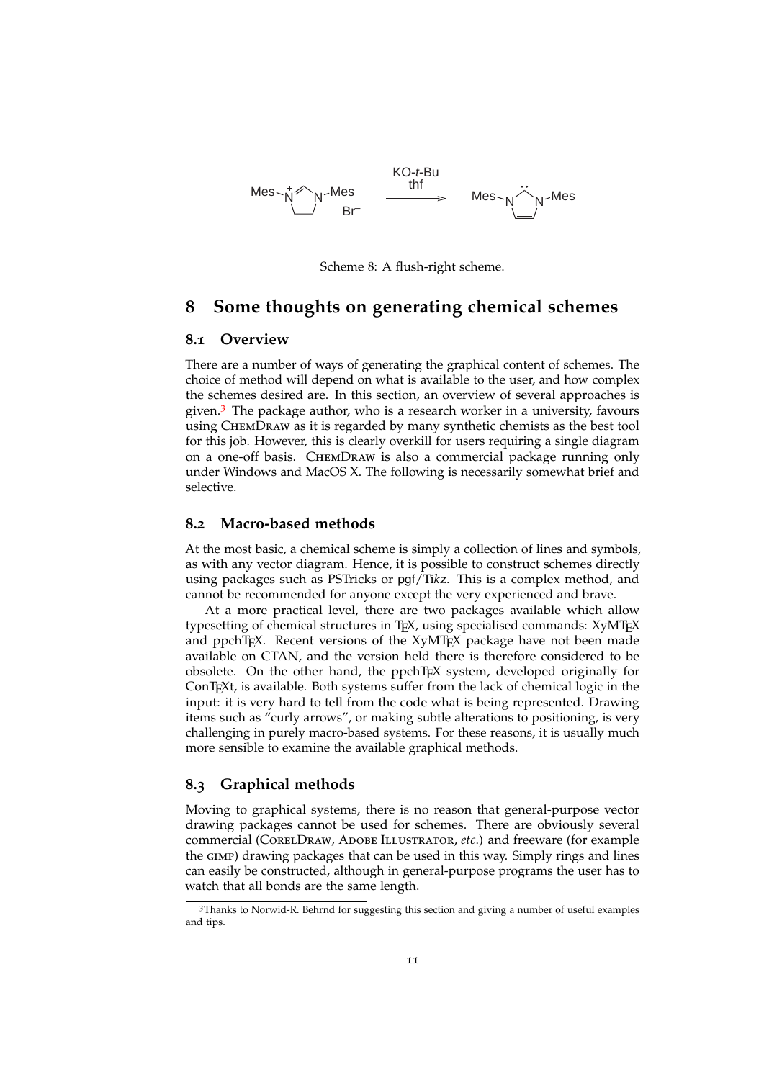<span id="page-10-4"></span>

Scheme 8: A flush-right scheme.

### <span id="page-10-0"></span>**8 Some thoughts on generating chemical schemes**

### <span id="page-10-1"></span>**8.1 Overview**

There are a number of ways of generating the graphical content of schemes. The choice of method will depend on what is available to the user, and how complex the schemes desired are. In this section, an overview of several approaches is given. $3$  The package author, who is a research worker in a university, favours using ChemDraw as it is regarded by many synthetic chemists as the best tool for this job. However, this is clearly overkill for users requiring a single diagram on a one-off basis. ChemDraw is also a commercial package running only under Windows and MacOS X. The following is necessarily somewhat brief and selective.

### <span id="page-10-2"></span>**8.2 Macro-based methods**

At the most basic, a chemical scheme is simply a collection of lines and symbols, as with any vector diagram. Hence, it is possible to construct schemes directly using packages such as PSTricks or pgf/Ti*k*z. This is a complex method, and cannot be recommended for anyone except the very experienced and brave.

At a more practical level, there are two packages available which allow typesetting of chemical structures in TEX, using specialised commands: XyMTEX and ppchTEX. Recent versions of the XyMTEX package have not been made available on CTAN, and the version held there is therefore considered to be obsolete. On the other hand, the ppchTEX system, developed originally for ConTEXt, is available. Both systems suffer from the lack of chemical logic in the input: it is very hard to tell from the code what is being represented. Drawing items such as "curly arrows", or making subtle alterations to positioning, is very challenging in purely macro-based systems. For these reasons, it is usually much more sensible to examine the available graphical methods.

### <span id="page-10-3"></span>**8.3 Graphical methods**

Moving to graphical systems, there is no reason that general-purpose vector drawing packages cannot be used for schemes. There are obviously several commercial (CorelDraw, Adobe Illustrator, *etc*.) and freeware (for example the gimp) drawing packages that can be used in this way. Simply rings and lines can easily be constructed, although in general-purpose programs the user has to watch that all bonds are the same length.

<span id="page-10-5"></span><sup>3</sup>Thanks to Norwid-R. Behrnd for suggesting this section and giving a number of useful examples and tips.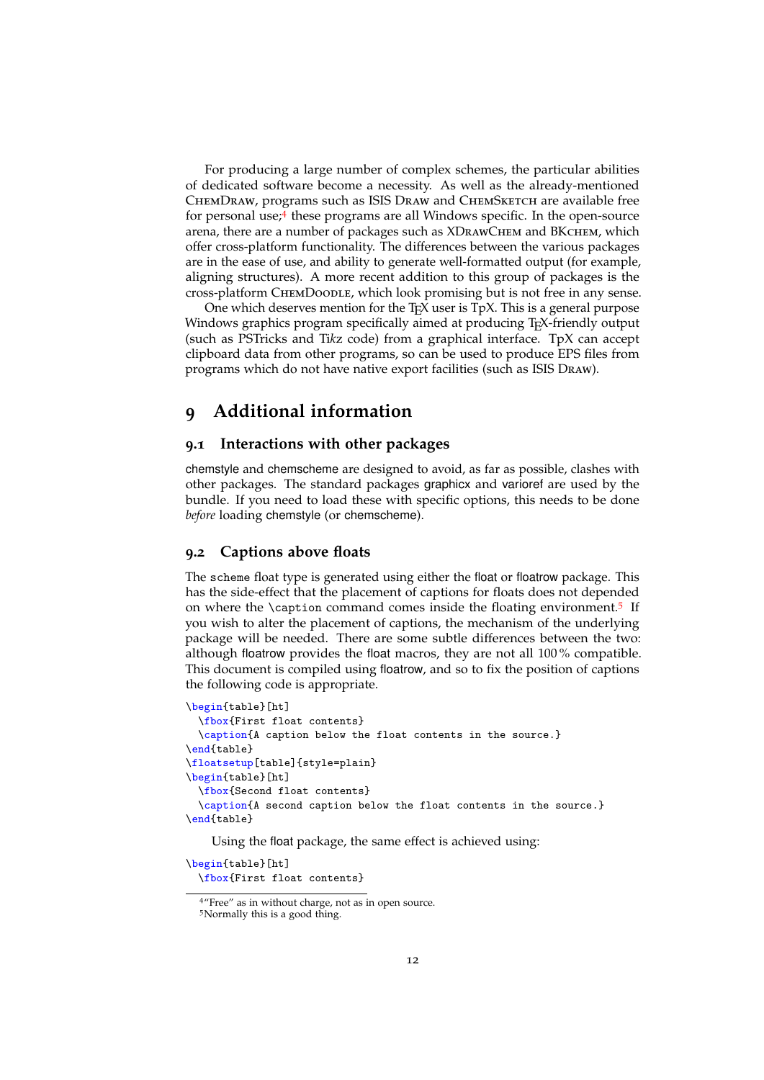For producing a large number of complex schemes, the particular abilities of dedicated software become a necessity. As well as the already-mentioned ChemDraw, programs such as ISIS Draw and ChemSketch are available free for personal use;<sup>[4](#page-11-3)</sup> these programs are all Windows specific. In the open-source arena, there are a number of packages such as XDRAWCHEM and BKCHEM, which offer cross-platform functionality. The differences between the various packages are in the ease of use, and ability to generate well-formatted output (for example, aligning structures). A more recent addition to this group of packages is the cross-platform ChemDoodle, which look promising but is not free in any sense.

One which deserves mention for the  $T_{F}X$  user is  $T_{p}X$ . This is a general purpose Windows graphics program specifically aimed at producing T<sub>E</sub>X-friendly output (such as PSTricks and Ti*k*z code) from a graphical interface. TpX can accept clipboard data from other programs, so can be used to produce EPS files from programs which do not have native export facilities (such as ISIS Draw).

## <span id="page-11-0"></span>**9 Additional information**

### <span id="page-11-1"></span>**9.1 Interactions with other packages**

chemstyle and chemscheme are designed to avoid, as far as possible, clashes with other packages. The standard packages graphicx and varioref are used by the bundle. If you need to load these with specific options, this needs to be done *before* loading chemstyle (or chemscheme).

### <span id="page-11-2"></span>**9.2 Captions above floats**

The scheme float type is generated using either the float or floatrow package. This has the side-effect that the placement of captions for floats does not depended on where the \caption command comes inside the floating environment.<sup>[5](#page-11-4)</sup> If you wish to alter the placement of captions, the mechanism of the underlying package will be needed. There are some subtle differences between the two: although floatrow provides the float macros, they are not all 100 % compatible. This document is compiled using floatrow, and so to fix the position of captions the following code is appropriate.

```
\begin{table}[ht]
 \fbox{First float contents}
  \caption{A caption below the float contents in the source.}
\end{table}
\floatsetup[table]{style=plain}
\begin{table}[ht]
  \fbox{Second float contents}
  \caption{A second caption below the float contents in the source.}
\end{table}
```
Using the float package, the same effect is achieved using:

\begin{table}[ht] \fbox{First float contents}

<span id="page-11-4"></span><span id="page-11-3"></span><sup>4</sup>"Free" as in without charge, not as in open source.

<sup>5</sup>Normally this is a good thing.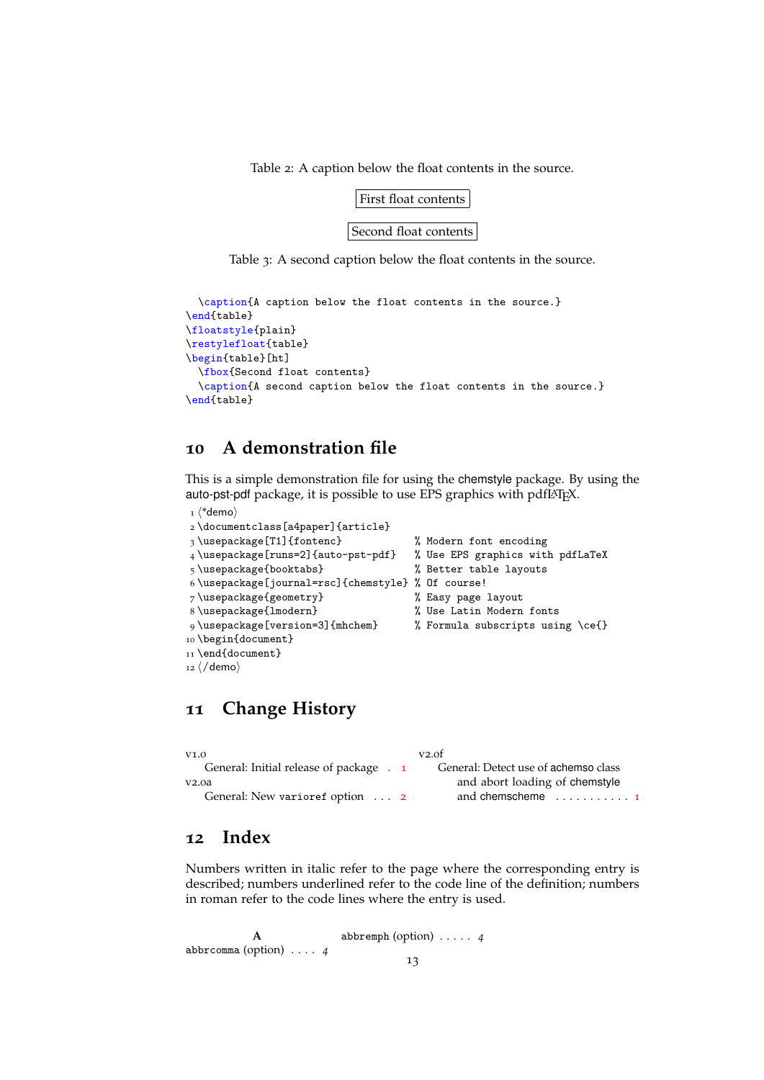Table 2: A caption below the float contents in the source.

### First float contents

Second float contents

Table 3: A second caption below the float contents in the source.

```
\caption{A caption below the float contents in the source.}
\end{table}
\floatstyle{plain}
\restylefloat{table}
\begin{table}[ht]
  \fbox{Second float contents}
  \caption{A second caption below the float contents in the source.}
\end{table}
```
## <span id="page-12-0"></span>**10 A demonstration file**

This is a simple demonstration file for using the chemstyle package. By using the auto-pst-pdf package, it is possible to use EPS graphics with pdfl<sup>ATEX</sup>.

```
_1 \langle*demo\rangle2 \documentclass[a4paper]{article}
3 \usepackage[T1]{fontenc} % Modern font encoding
4 \usepackage[runs=2]{auto-pst-pdf} % Use EPS graphics with pdfLaTeX
5 \usepackage{booktabs} % Better table layouts
6 \usepackage[journal=rsc]{chemstyle} % Of course!
7 \usepackage{geometry} % Easy page layout
8 \usepackage{lmodern} % Use Latin Modern fonts
9 \usepackage[version=3]{mhchem} % Formula subscripts using \ce{}
10 \begin{document}
11 \end{document}
12 \langle /deno \rangle
```
<span id="page-12-3"></span>

### <span id="page-12-1"></span>**11 Change History**

| V1.0                                    | v2.0f                                 |
|-----------------------------------------|---------------------------------------|
| General: Initial release of package . 1 | General: Detect use of achemso class  |
| V2.0a                                   | and abort loading of chemstyle        |
| General: New varioref option  2         | and chemscheme $\dots\dots\dots\dots$ |

## <span id="page-12-2"></span>**12 Index**

Numbers written in italic refer to the page where the corresponding entry is described; numbers underlined refer to the code line of the definition; numbers in roman refer to the code lines where the entry is used.

```
A
abbrcomma (option) . . . . 4
                              abbremph (option) . . . . . 4
                                           13
```